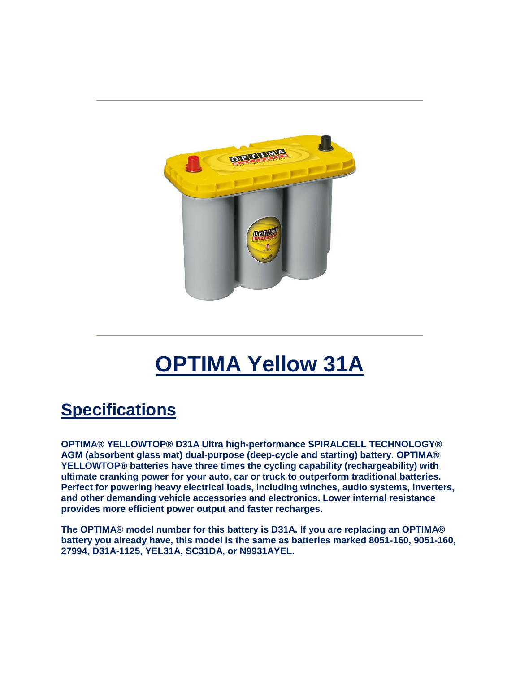

# **OPTIMA Yellow 31A**

# **Specifications**

**OPTIMA® YELLOWTOP® D31A Ultra high-performance SPIRALCELL TECHNOLOGY® AGM (absorbent glass mat) dual-purpose (deep-cycle and starting) battery. OPTIMA® YELLOWTOP® batteries have three times the cycling capability (rechargeability) with ultimate cranking power for your auto, car or truck to outperform traditional batteries. Perfect for powering heavy electrical loads, including winches, audio systems, inverters, and other demanding vehicle accessories and electronics. Lower internal resistance provides more efficient power output and faster recharges.**

**The OPTIMA® model number for this battery is D31A. If you are replacing an OPTIMA® battery you already have, this model is the same as batteries marked 8051-160, 9051-160, 27994, D31A-1125, YEL31A, SC31DA, or N9931AYEL.**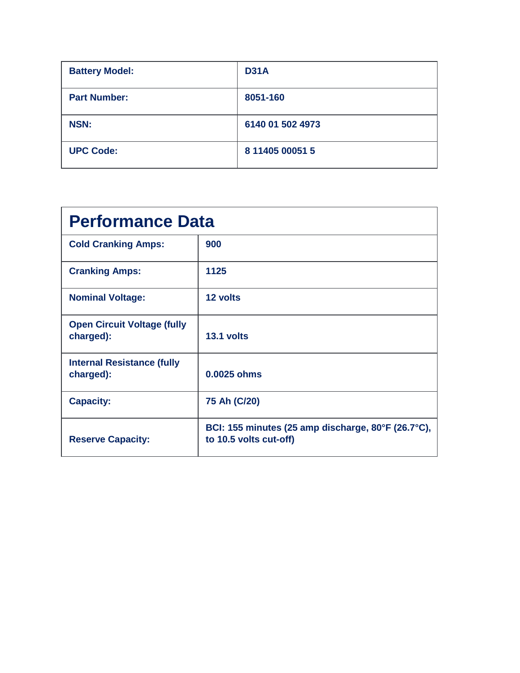| <b>Battery Model:</b> | <b>D31A</b>      |
|-----------------------|------------------|
| <b>Part Number:</b>   | 8051-160         |
| <b>NSN:</b>           | 6140 01 502 4973 |
| <b>UPC Code:</b>      | 8 11405 00051 5  |

| <b>Performance Data</b>                         |                                                                              |  |
|-------------------------------------------------|------------------------------------------------------------------------------|--|
| <b>Cold Cranking Amps:</b>                      | 900                                                                          |  |
| <b>Cranking Amps:</b>                           | 1125                                                                         |  |
| <b>Nominal Voltage:</b>                         | 12 volts                                                                     |  |
| <b>Open Circuit Voltage (fully</b><br>charged): | 13.1 volts                                                                   |  |
| <b>Internal Resistance (fully</b><br>charged):  | 0.0025 ohms                                                                  |  |
| <b>Capacity:</b>                                | 75 Ah (C/20)                                                                 |  |
| <b>Reserve Capacity:</b>                        | BCI: 155 minutes (25 amp discharge, 80°F (26.7°C),<br>to 10.5 volts cut-off) |  |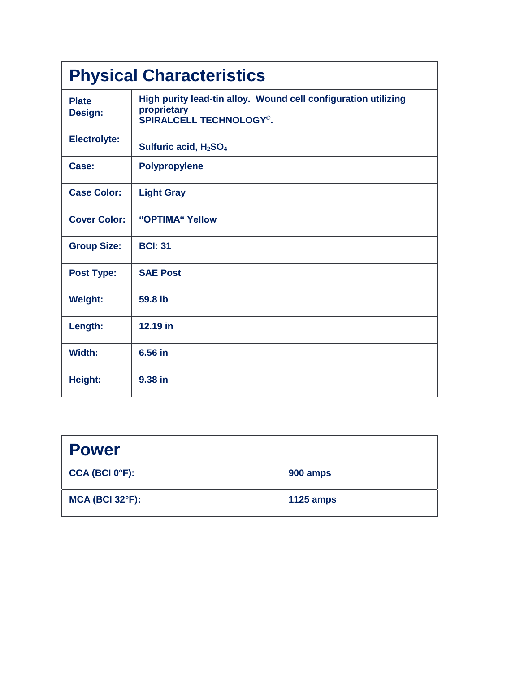| <b>Physical Characteristics</b> |                                                                                                                 |  |
|---------------------------------|-----------------------------------------------------------------------------------------------------------------|--|
| <b>Plate</b><br>Design:         | High purity lead-tin alloy. Wound cell configuration utilizing<br>proprietary<br><b>SPIRALCELL TECHNOLOGY®.</b> |  |
| <b>Electrolyte:</b>             | Sulfuric acid, H <sub>2</sub> SO <sub>4</sub>                                                                   |  |
| Case:                           | <b>Polypropylene</b>                                                                                            |  |
| <b>Case Color:</b>              | <b>Light Gray</b>                                                                                               |  |
| <b>Cover Color:</b>             | "OPTIMA" Yellow                                                                                                 |  |
| <b>Group Size:</b>              | <b>BCI: 31</b>                                                                                                  |  |
| <b>Post Type:</b>               | <b>SAE Post</b>                                                                                                 |  |
| <b>Weight:</b>                  | 59.8 lb                                                                                                         |  |
| Length:                         | 12.19 in                                                                                                        |  |
| Width:                          | 6.56 in                                                                                                         |  |
| Height:                         | 9.38 in                                                                                                         |  |

| <b>Power</b>                |                  |
|-----------------------------|------------------|
| CCA (BCI 0 <sup>o</sup> F): | 900 amps         |
| $MCA$ (BCI 32 $\degree$ F): | <b>1125 amps</b> |